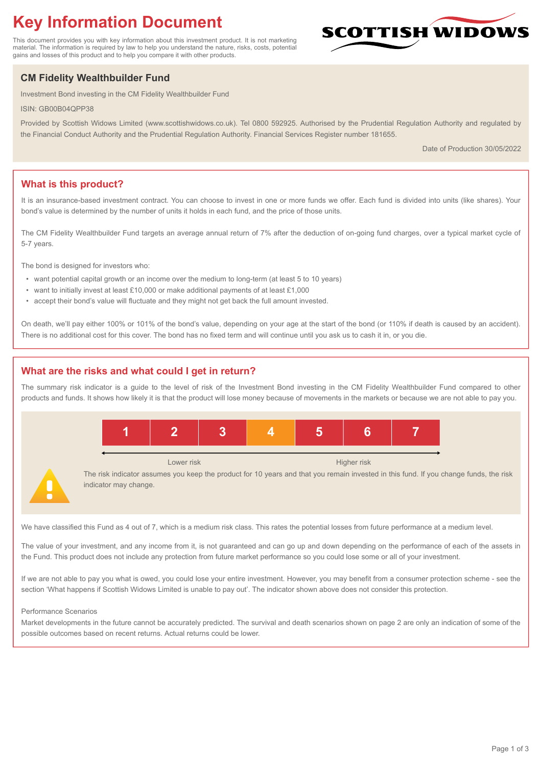# **Key Information Document**

This document provides you with key information about this investment product. It is not marketing material. The information is required by law to help you understand the nature, risks, costs, potential gains and losses of this product and to help you compare it with other products.

## **CM Fidelity Wealthbuilder Fund**

Investment Bond investing in the CM Fidelity Wealthbuilder Fund

ISIN: GB00B04QPP38

Provided by Scottish Widows Limited (www.scottishwidows.co.uk). Tel 0800 592925. Authorised by the Prudential Regulation Authority and regulated by the Financial Conduct Authority and the Prudential Regulation Authority. Financial Services Register number 181655.

Date of Production 30/05/2022

**SCOTTISH WIDOW** 

## **What is this product?**

It is an insurance-based investment contract. You can choose to invest in one or more funds we offer. Each fund is divided into units (like shares). Your bond's value is determined by the number of units it holds in each fund, and the price of those units.

The CM Fidelity Wealthbuilder Fund targets an average annual return of 7% after the deduction of on-going fund charges, over a typical market cycle of 5-7 years.

The bond is designed for investors who:

- want potential capital growth or an income over the medium to long-term (at least 5 to 10 years)
- want to initially invest at least £10,000 or make additional payments of at least £1,000
- accept their bond's value will fluctuate and they might not get back the full amount invested.

On death, we'll pay either 100% or 101% of the bond's value, depending on your age at the start of the bond (or 110% if death is caused by an accident). There is no additional cost for this cover. The bond has no fixed term and will continue until you ask us to cash it in, or you die.

## **What are the risks and what could I get in return?**

The summary risk indicator is a guide to the level of risk of the Investment Bond investing in the CM Fidelity Wealthbuilder Fund compared to other products and funds. It shows how likely it is that the product will lose money because of movements in the markets or because we are not able to pay you.



We have classified this Fund as 4 out of 7, which is a medium risk class. This rates the potential losses from future performance at a medium level.

The value of your investment, and any income from it, is not guaranteed and can go up and down depending on the performance of each of the assets in the Fund. This product does not include any protection from future market performance so you could lose some or all of your investment.

If we are not able to pay you what is owed, you could lose your entire investment. However, you may benefit from a consumer protection scheme - see the section 'What happens if Scottish Widows Limited is unable to pay out'. The indicator shown above does not consider this protection.

#### Performance Scenarios

Market developments in the future cannot be accurately predicted. The survival and death scenarios shown on page 2 are only an indication of some of the possible outcomes based on recent returns. Actual returns could be lower.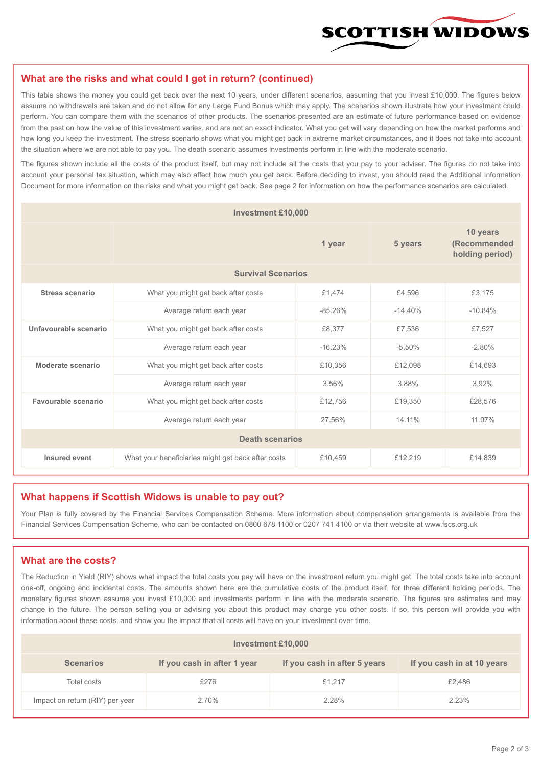

#### **What are the risks and what could I get in return? (continued)**

This table shows the money you could get back over the next 10 years, under different scenarios, assuming that you invest £10,000. The figures below assume no withdrawals are taken and do not allow for any Large Fund Bonus which may apply. The scenarios shown illustrate how your investment could perform. You can compare them with the scenarios of other products. The scenarios presented are an estimate of future performance based on evidence from the past on how the value of this investment varies, and are not an exact indicator. What you get will vary depending on how the market performs and how long you keep the investment. The stress scenario shows what you might get back in extreme market circumstances, and it does not take into account the situation where we are not able to pay you. The death scenario assumes investments perform in line with the moderate scenario.

The figures shown include all the costs of the product itself, but may not include all the costs that you pay to your adviser. The figures do not take into account your personal tax situation, which may also affect how much you get back. Before deciding to invest, you should read the Additional Information Document for more information on the risks and what you might get back. See page 2 for information on how the performance scenarios are calculated.

| <b>Investment £10,000</b> |                                                    |           |                                             |           |  |  |
|---------------------------|----------------------------------------------------|-----------|---------------------------------------------|-----------|--|--|
|                           |                                                    | 5 years   | 10 years<br>(Recommended<br>holding period) |           |  |  |
| <b>Survival Scenarios</b> |                                                    |           |                                             |           |  |  |
| <b>Stress scenario</b>    | £1,474<br>What you might get back after costs      |           | £4,596                                      | £3,175    |  |  |
|                           | $-85.26%$<br>Average return each year              |           | $-14.40%$                                   | $-10.84%$ |  |  |
| Unfavourable scenario     | What you might get back after costs<br>£8,377      |           | £7,536                                      | £7,527    |  |  |
|                           | Average return each year                           | $-16.23%$ | $-5.50%$                                    | $-2.80%$  |  |  |
| Moderate scenario         | What you might get back after costs                | £10,356   | £12,098                                     | £14,693   |  |  |
|                           | Average return each year                           | 3.56%     | 3.88%                                       | 3.92%     |  |  |
| Favourable scenario       | What you might get back after costs                | £12,756   | £19,350                                     | £28,576   |  |  |
| Average return each year  |                                                    | 27.56%    | 14.11%                                      | 11.07%    |  |  |
| <b>Death scenarios</b>    |                                                    |           |                                             |           |  |  |
| Insured event             | What your beneficiaries might get back after costs | £10,459   | £12,219                                     | £14,839   |  |  |

#### **What happens if Scottish Widows is unable to pay out?**

Your Plan is fully covered by the Financial Services Compensation Scheme. More information about compensation arrangements is available from the Financial Services Compensation Scheme, who can be contacted on 0800 678 1100 or 0207 741 4100 or via their website at www.fscs.org.uk

## **What are the costs?**

The Reduction in Yield (RIY) shows what impact the total costs you pay will have on the investment return you might get. The total costs take into account one-off, ongoing and incidental costs. The amounts shown here are the cumulative costs of the product itself, for three different holding periods. The monetary figures shown assume you invest £10,000 and investments perform in line with the moderate scenario. The figures are estimates and may change in the future. The person selling you or advising you about this product may charge you other costs. If so, this person will provide you with information about these costs, and show you the impact that all costs will have on your investment over time.

| Investment £10,000              |                             |                              |                            |  |  |  |
|---------------------------------|-----------------------------|------------------------------|----------------------------|--|--|--|
| <b>Scenarios</b>                | If you cash in after 1 year | If you cash in after 5 years | If you cash in at 10 years |  |  |  |
| Total costs                     | £276                        | £1.217                       | £2,486                     |  |  |  |
| Impact on return (RIY) per year | 2.70%                       | 2.28%                        | 2.23%                      |  |  |  |